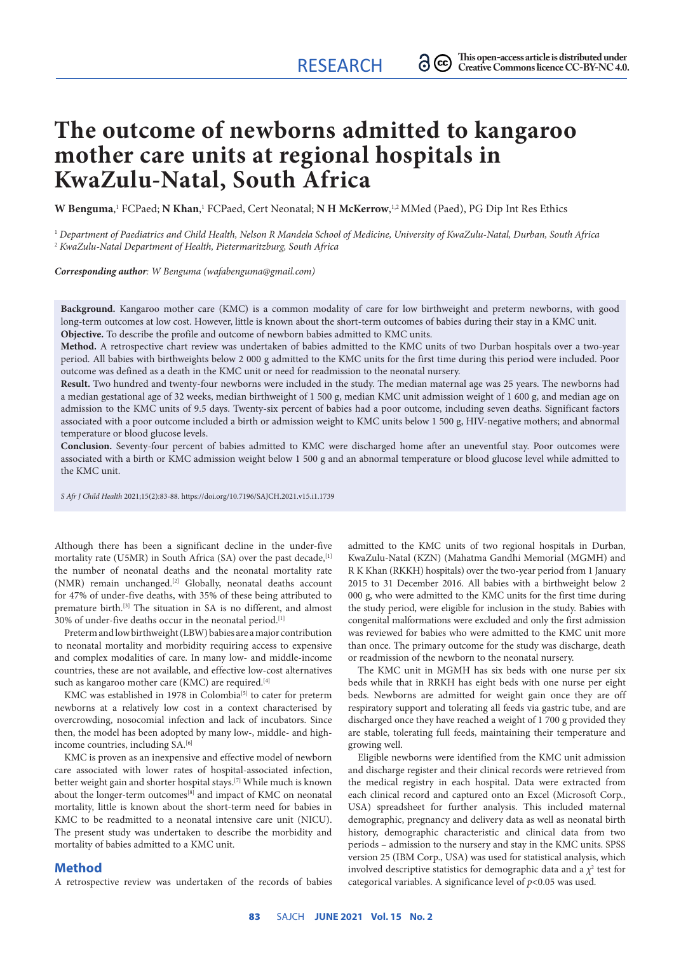# **The outcome of newborns admitted to kangaroo mother care units at regional hospitals in KwaZulu‑Natal, South Africa**

**W Benguma**,<sup>1</sup> FCPaed; **N Khan**,<sup>1</sup> FCPaed, Cert Neonatal; **N H McKerrow**,<sup>1,2</sup> MMed (Paed), PG Dip Int Res Ethics

<sup>1</sup> *Department of Paediatrics and Child Health, Nelson R Mandela School of Medicine, University of KwaZulu-Natal, Durban, South Africa* <sup>2</sup> *KwaZulu-Natal Department of Health, Pietermaritzburg, South Africa*

*Corresponding author: W Benguma ([wafabenguma@gmail.com](mailto:wafabenguma@gmail.com))*

**Background.** Kangaroo mother care (KMC) is a common modality of care for low birthweight and preterm newborns, with good long-term outcomes at low cost. However, little is known about the short-term outcomes of babies during their stay in a KMC unit. **Objective.** To describe the profile and outcome of newborn babies admitted to KMC units.

**Method.** A retrospective chart review was undertaken of babies admitted to the KMC units of two Durban hospitals over a two-year period. All babies with birthweights below 2 000 g admitted to the KMC units for the first time during this period were included. Poor outcome was defined as a death in the KMC unit or need for readmission to the neonatal nursery.

**Result.** Two hundred and twenty-four newborns were included in the study. The median maternal age was 25 years. The newborns had a median gestational age of 32 weeks, median birthweight of 1 500 g, median KMC unit admission weight of 1 600 g, and median age on admission to the KMC units of 9.5 days. Twenty-six percent of babies had a poor outcome, including seven deaths. Significant factors associated with a poor outcome included a birth or admission weight to KMC units below 1 500 g, HIV-negative mothers; and abnormal temperature or blood glucose levels.

**Conclusion.** Seventy-four percent of babies admitted to KMC were discharged home after an uneventful stay. Poor outcomes were associated with a birth or KMC admission weight below 1 500 g and an abnormal temperature or blood glucose level while admitted to the KMC unit.

*S Afr J Child Health* 2021;15(2):83-88.<https://doi.org/10.7196/SAJCH.2021.v15.i1.1739>

Although there has been a significant decline in the under-five mortality rate (U5MR) in South Africa (SA) over the past decade, [1] the number of neonatal deaths and the neonatal mortality rate (NMR) remain unchanged.<sup>[2]</sup> Globally, neonatal deaths account for 47% of under-five deaths, with 35% of these being attributed to premature birth.[3] The situation in SA is no different, and almost 30% of under-five deaths occur in the neonatal period.[1]

Preterm and low birthweight (LBW) babies are a major contribution to neonatal mortality and morbidity requiring access to expensive and complex modalities of care. In many low- and middle-income countries, these are not available, and effective low-cost alternatives such as kangaroo mother care (KMC) are required.<sup>[4]</sup>

KMC was established in 1978 in Colombia<sup>[5]</sup> to cater for preterm newborns at a relatively low cost in a context characterised by overcrowding, nosocomial infection and lack of incubators. Since then, the model has been adopted by many low-, middle- and highincome countries, including SA.<sup>[6]</sup>

KMC is proven as an inexpensive and effective model of newborn care associated with lower rates of hospital-associated infection, better weight gain and shorter hospital stays.[7] While much is known about the longer-term outcomes<sup>[8]</sup> and impact of KMC on neonatal mortality, little is known about the short-term need for babies in KMC to be readmitted to a neonatal intensive care unit (NICU). The present study was undertaken to describe the morbidity and mortality of babies admitted to a KMC unit.

### **Method**

A retrospective review was undertaken of the records of babies

admitted to the KMC units of two regional hospitals in Durban, KwaZulu-Natal (KZN) (Mahatma Gandhi Memorial (MGMH) and R K Khan (RKKH) hospitals) over the two-year period from 1 January 2015 to 31 December 2016. All babies with a birthweight below 2 000 g, who were admitted to the KMC units for the first time during the study period, were eligible for inclusion in the study. Babies with congenital malformations were excluded and only the first admission was reviewed for babies who were admitted to the KMC unit more than once. The primary outcome for the study was discharge, death or readmission of the newborn to the neonatal nursery.

The KMC unit in MGMH has six beds with one nurse per six beds while that in RRKH has eight beds with one nurse per eight beds. Newborns are admitted for weight gain once they are off respiratory support and tolerating all feeds via gastric tube, and are discharged once they have reached a weight of 1 700 g provided they are stable, tolerating full feeds, maintaining their temperature and growing well.

Eligible newborns were identified from the KMC unit admission and discharge register and their clinical records were retrieved from the medical registry in each hospital. Data were extracted from each clinical record and captured onto an Excel (Microsoft Corp., USA) spreadsheet for further analysis. This included maternal demographic, pregnancy and delivery data as well as neonatal birth history, demographic characteristic and clinical data from two periods – admission to the nursery and stay in the KMC units. SPSS version 25 (IBM Corp., USA) was used for statistical analysis, which involved descriptive statistics for demographic data and a  $\chi^2$  test for categorical variables. A significance level of *p*<0.05 was used.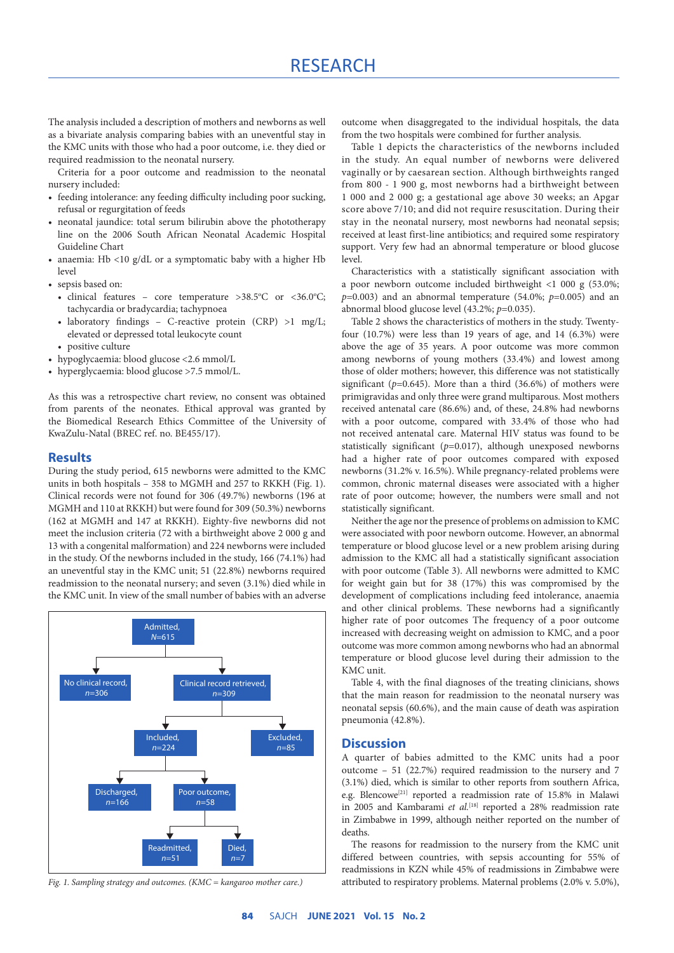The analysis included a description of mothers and newborns as well as a bivariate analysis comparing babies with an uneventful stay in the KMC units with those who had a poor outcome, i.e. they died or required readmission to the neonatal nursery.

Criteria for a poor outcome and readmission to the neonatal nursery included:

- feeding intolerance: any feeding difficulty including poor sucking, refusal or regurgitation of feeds
- neonatal jaundice: total serum bilirubin above the phototherapy line on the 2006 South African Neonatal Academic Hospital Guideline Chart
- anaemia: Hb <10 g/dL or a symptomatic baby with a higher Hb level
- sepsis based on:
	- clinical features core temperature >38.5°C or <36.0°C; tachycardia or bradycardia; tachypnoea
	- laboratory findings C-reactive protein (CRP) >1 mg/L; elevated or depressed total leukocyte count
	- positive culture
- hypoglycaemia: blood glucose <2.6 mmol/L
- hyperglycaemia: blood glucose >7.5 mmol/L.

As this was a retrospective chart review, no consent was obtained from parents of the neonates. Ethical approval was granted by the Biomedical Research Ethics Committee of the University of KwaZulu-Natal (BREC ref. no. BE455/17).

#### **Results**

During the study period, 615 newborns were admitted to the KMC units in both hospitals – 358 to MGMH and 257 to RKKH (Fig. 1). Clinical records were not found for 306 (49.7%) newborns (196 at MGMH and 110 at RKKH) but were found for 309 (50.3%) newborns (162 at MGMH and 147 at RKKH). Eighty-five newborns did not meet the inclusion criteria (72 with a birthweight above 2 000 g and 13 with a congenital malformation) and 224 newborns were included in the study. Of the newborns included in the study, 166 (74.1%) had an uneventful stay in the KMC unit; 51 (22.8%) newborns required readmission to the neonatal nursery; and seven (3.1%) died while in the KMC unit. In view of the small number of babies with an adverse



*Fig. 1. Sampling strategy and outcomes. (KMC = kangaroo mother care.)*

outcome when disaggregated to the individual hospitals, the data from the two hospitals were combined for further analysis.

Table 1 depicts the characteristics of the newborns included in the study. An equal number of newborns were delivered vaginally or by caesarean section. Although birthweights ranged from 800 - 1 900 g, most newborns had a birthweight between 1 000 and 2 000 g; a gestational age above 30 weeks; an Apgar score above 7/10; and did not require resuscitation. During their stay in the neonatal nursery, most newborns had neonatal sepsis; received at least first-line antibiotics; and required some respiratory support. Very few had an abnormal temperature or blood glucose level.

Characteristics with a statistically significant association with a poor newborn outcome included birthweight <1 000 g (53.0%;  $p=0.003$ ) and an abnormal temperature (54.0%;  $p=0.005$ ) and an abnormal blood glucose level (43.2%; *p*=0.035).

Table 2 shows the characteristics of mothers in the study. Twentyfour (10.7%) were less than 19 years of age, and 14 (6.3%) were above the age of 35 years. A poor outcome was more common among newborns of young mothers (33.4%) and lowest among those of older mothers; however, this difference was not statistically significant  $(p=0.645)$ . More than a third  $(36.6\%)$  of mothers were primigravidas and only three were grand multiparous. Most mothers received antenatal care (86.6%) and, of these, 24.8% had newborns with a poor outcome, compared with 33.4% of those who had not received antenatal care. Maternal HIV status was found to be statistically significant (*p*=0.017), although unexposed newborns had a higher rate of poor outcomes compared with exposed newborns (31.2% v. 16.5%). While pregnancy-related problems were common, chronic maternal diseases were associated with a higher rate of poor outcome; however, the numbers were small and not statistically significant.

Neither the age nor the presence of problems on admission to KMC were associated with poor newborn outcome. However, an abnormal temperature or blood glucose level or a new problem arising during admission to the KMC all had a statistically significant association with poor outcome (Table 3). All newborns were admitted to KMC for weight gain but for 38 (17%) this was compromised by the development of complications including feed intolerance, anaemia and other clinical problems. These newborns had a significantly higher rate of poor outcomes The frequency of a poor outcome increased with decreasing weight on admission to KMC, and a poor outcome was more common among newborns who had an abnormal temperature or blood glucose level during their admission to the KMC unit.

Table 4, with the final diagnoses of the treating clinicians, shows that the main reason for readmission to the neonatal nursery was neonatal sepsis (60.6%), and the main cause of death was aspiration pneumonia (42.8%).

#### **Discussion**

A quarter of babies admitted to the KMC units had a poor outcome – 51 (22.7%) required readmission to the nursery and 7 (3.1%) died, which is similar to other reports from southern Africa, e.g. Blencowe<sup>[21]</sup> reported a readmission rate of 15.8% in Malawi in 2005 and Kambarami et al.<sup>[18]</sup> reported a 28% readmission rate in Zimbabwe in 1999, although neither reported on the number of deaths.

The reasons for readmission to the nursery from the KMC unit differed between countries, with sepsis accounting for 55% of readmissions in KZN while 45% of readmissions in Zimbabwe were attributed to respiratory problems. Maternal problems (2.0% v. 5.0%),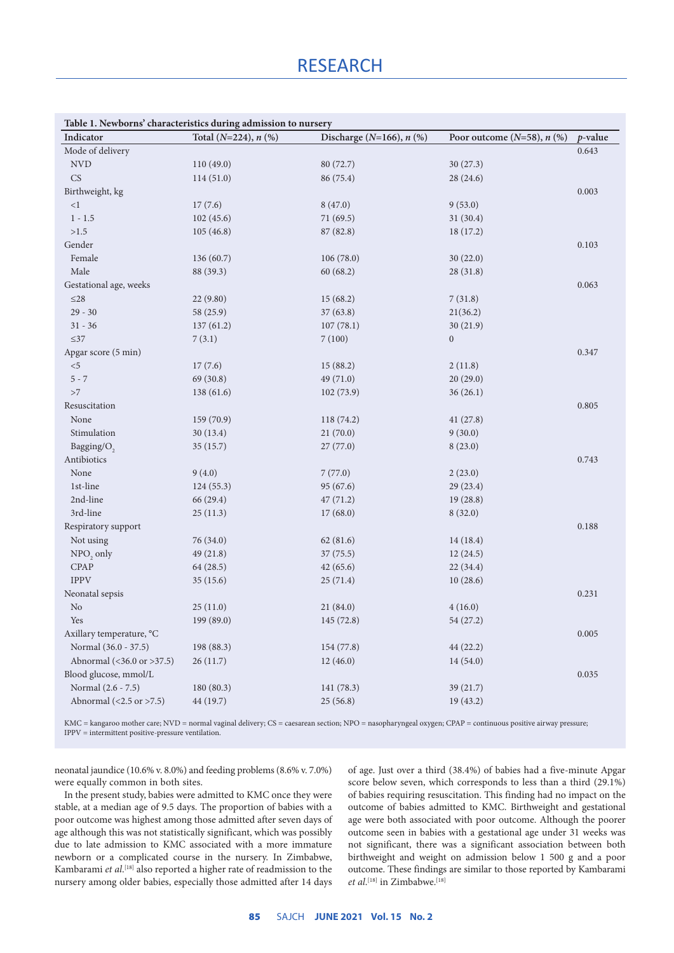## **RESEARCH**

| Discharge ( $N=166$ ), $n$ (%)<br>Indicator<br>Total ( $N=224$ ), $n$ (%)<br>Poor outcome $(N=58)$ , $n$ $(\%)$<br>$p$ -value<br>Mode of delivery<br>0.643<br><b>NVD</b><br>110(49.0)<br>80 (72.7)<br>30(27.3)<br>CS<br>114(51.0)<br>86 (75.4)<br>28(24.6)<br>Birthweight, kg<br>0.003<br>${<}1\,$<br>17(7.6)<br>9(53.0)<br>8(47.0)<br>102(45.6)<br>$1 - 1.5$<br>71(69.5)<br>31(30.4)<br>$>\!\!1.5$<br>105(46.8)<br>87 (82.8)<br>18(17.2)<br>Gender<br>0.103<br>Female<br>136(60.7)<br>106(78.0)<br>30(22.0)<br>Male<br>88 (39.3)<br>60(68.2)<br>28(31.8)<br>Gestational age, weeks<br>0.063<br>${\leq}28$<br>22(9.80)<br>15(68.2)<br>7(31.8)<br>$29 - 30$<br>58 (25.9)<br>37(63.8)<br>21(36.2)<br>$31 - 36$<br>137(61.2)<br>107(78.1)<br>30(21.9)<br>$\leq$ 37<br>7(3.1)<br>7(100)<br>$\boldsymbol{0}$<br>Apgar score (5 min)<br>0.347<br>$< 5$<br>17(7.6)<br>15(88.2)<br>2(11.8)<br>69 (30.8)<br>$5 - 7$<br>49 (71.0)<br>20(29.0)<br>${>}7$<br>138(61.6)<br>102(73.9)<br>36(26.1)<br>Resuscitation<br>0.805<br>159 (70.9)<br>None<br>118(74.2)<br>41(27.8)<br>Stimulation<br>21(70.0)<br>9(30.0)<br>30(13.4)<br>Bagging/O <sub>2</sub><br>35(15.7)<br>27(77.0)<br>8(23.0)<br>Antibiotics<br>0.743<br>None<br>9(4.0)<br>7(77.0)<br>2(23.0)<br>1st-line<br>95 (67.6)<br>124(55.3)<br>29(23.4)<br>2nd-line<br>66 (29.4)<br>47(71.2)<br>19(28.8)<br>3rd-line<br>25(11.3)<br>17(68.0)<br>8(32.0)<br>Respiratory support<br>0.188<br>Not using<br>76 (34.0)<br>62(81.6)<br>14(18.4)<br>NPO <sub>2</sub> only<br>49 (21.8)<br>37(75.5)<br>12(24.5)<br><b>CPAP</b><br>64 (28.5)<br>42(65.6)<br>22(34.4)<br>${\rm IPPV}$<br>35(15.6)<br>10(28.6)<br>25(71.4)<br>0.231<br>Neonatal sepsis<br>No<br>25(11.0)<br>21(84.0)<br>4(16.0)<br>199 (89.0)<br>Yes<br>145 (72.8)<br>54 (27.2)<br>Axillary temperature, °C<br>0.005<br>Normal (36.0 - 37.5)<br>198 (88.3)<br>154 (77.8)<br>44 (22.2)<br>Abnormal (<36.0 or >37.5)<br>26(11.7)<br>12(46.0)<br>14(54.0)<br>Blood glucose, mmol/L<br>0.035<br>Normal (2.6 - 7.5)<br>180 (80.3)<br>141 (78.3)<br>39 (21.7)<br>Abnormal $(<2.5 \text{ or } >7.5)$ | Table 1. Newborns' characteristics during admission to nursery |           |          |           |  |
|------------------------------------------------------------------------------------------------------------------------------------------------------------------------------------------------------------------------------------------------------------------------------------------------------------------------------------------------------------------------------------------------------------------------------------------------------------------------------------------------------------------------------------------------------------------------------------------------------------------------------------------------------------------------------------------------------------------------------------------------------------------------------------------------------------------------------------------------------------------------------------------------------------------------------------------------------------------------------------------------------------------------------------------------------------------------------------------------------------------------------------------------------------------------------------------------------------------------------------------------------------------------------------------------------------------------------------------------------------------------------------------------------------------------------------------------------------------------------------------------------------------------------------------------------------------------------------------------------------------------------------------------------------------------------------------------------------------------------------------------------------------------------------------------------------------------------------------------------------------------------------------------------------------------------------------------------------------------------------------------------------------------------------------------------------------------------------------|----------------------------------------------------------------|-----------|----------|-----------|--|
|                                                                                                                                                                                                                                                                                                                                                                                                                                                                                                                                                                                                                                                                                                                                                                                                                                                                                                                                                                                                                                                                                                                                                                                                                                                                                                                                                                                                                                                                                                                                                                                                                                                                                                                                                                                                                                                                                                                                                                                                                                                                                          |                                                                |           |          |           |  |
|                                                                                                                                                                                                                                                                                                                                                                                                                                                                                                                                                                                                                                                                                                                                                                                                                                                                                                                                                                                                                                                                                                                                                                                                                                                                                                                                                                                                                                                                                                                                                                                                                                                                                                                                                                                                                                                                                                                                                                                                                                                                                          |                                                                |           |          |           |  |
|                                                                                                                                                                                                                                                                                                                                                                                                                                                                                                                                                                                                                                                                                                                                                                                                                                                                                                                                                                                                                                                                                                                                                                                                                                                                                                                                                                                                                                                                                                                                                                                                                                                                                                                                                                                                                                                                                                                                                                                                                                                                                          |                                                                |           |          |           |  |
|                                                                                                                                                                                                                                                                                                                                                                                                                                                                                                                                                                                                                                                                                                                                                                                                                                                                                                                                                                                                                                                                                                                                                                                                                                                                                                                                                                                                                                                                                                                                                                                                                                                                                                                                                                                                                                                                                                                                                                                                                                                                                          |                                                                |           |          |           |  |
|                                                                                                                                                                                                                                                                                                                                                                                                                                                                                                                                                                                                                                                                                                                                                                                                                                                                                                                                                                                                                                                                                                                                                                                                                                                                                                                                                                                                                                                                                                                                                                                                                                                                                                                                                                                                                                                                                                                                                                                                                                                                                          |                                                                |           |          |           |  |
|                                                                                                                                                                                                                                                                                                                                                                                                                                                                                                                                                                                                                                                                                                                                                                                                                                                                                                                                                                                                                                                                                                                                                                                                                                                                                                                                                                                                                                                                                                                                                                                                                                                                                                                                                                                                                                                                                                                                                                                                                                                                                          |                                                                |           |          |           |  |
|                                                                                                                                                                                                                                                                                                                                                                                                                                                                                                                                                                                                                                                                                                                                                                                                                                                                                                                                                                                                                                                                                                                                                                                                                                                                                                                                                                                                                                                                                                                                                                                                                                                                                                                                                                                                                                                                                                                                                                                                                                                                                          |                                                                |           |          |           |  |
|                                                                                                                                                                                                                                                                                                                                                                                                                                                                                                                                                                                                                                                                                                                                                                                                                                                                                                                                                                                                                                                                                                                                                                                                                                                                                                                                                                                                                                                                                                                                                                                                                                                                                                                                                                                                                                                                                                                                                                                                                                                                                          |                                                                |           |          |           |  |
|                                                                                                                                                                                                                                                                                                                                                                                                                                                                                                                                                                                                                                                                                                                                                                                                                                                                                                                                                                                                                                                                                                                                                                                                                                                                                                                                                                                                                                                                                                                                                                                                                                                                                                                                                                                                                                                                                                                                                                                                                                                                                          |                                                                |           |          |           |  |
|                                                                                                                                                                                                                                                                                                                                                                                                                                                                                                                                                                                                                                                                                                                                                                                                                                                                                                                                                                                                                                                                                                                                                                                                                                                                                                                                                                                                                                                                                                                                                                                                                                                                                                                                                                                                                                                                                                                                                                                                                                                                                          |                                                                |           |          |           |  |
|                                                                                                                                                                                                                                                                                                                                                                                                                                                                                                                                                                                                                                                                                                                                                                                                                                                                                                                                                                                                                                                                                                                                                                                                                                                                                                                                                                                                                                                                                                                                                                                                                                                                                                                                                                                                                                                                                                                                                                                                                                                                                          |                                                                |           |          |           |  |
|                                                                                                                                                                                                                                                                                                                                                                                                                                                                                                                                                                                                                                                                                                                                                                                                                                                                                                                                                                                                                                                                                                                                                                                                                                                                                                                                                                                                                                                                                                                                                                                                                                                                                                                                                                                                                                                                                                                                                                                                                                                                                          |                                                                |           |          |           |  |
|                                                                                                                                                                                                                                                                                                                                                                                                                                                                                                                                                                                                                                                                                                                                                                                                                                                                                                                                                                                                                                                                                                                                                                                                                                                                                                                                                                                                                                                                                                                                                                                                                                                                                                                                                                                                                                                                                                                                                                                                                                                                                          |                                                                |           |          |           |  |
|                                                                                                                                                                                                                                                                                                                                                                                                                                                                                                                                                                                                                                                                                                                                                                                                                                                                                                                                                                                                                                                                                                                                                                                                                                                                                                                                                                                                                                                                                                                                                                                                                                                                                                                                                                                                                                                                                                                                                                                                                                                                                          |                                                                |           |          |           |  |
|                                                                                                                                                                                                                                                                                                                                                                                                                                                                                                                                                                                                                                                                                                                                                                                                                                                                                                                                                                                                                                                                                                                                                                                                                                                                                                                                                                                                                                                                                                                                                                                                                                                                                                                                                                                                                                                                                                                                                                                                                                                                                          |                                                                |           |          |           |  |
|                                                                                                                                                                                                                                                                                                                                                                                                                                                                                                                                                                                                                                                                                                                                                                                                                                                                                                                                                                                                                                                                                                                                                                                                                                                                                                                                                                                                                                                                                                                                                                                                                                                                                                                                                                                                                                                                                                                                                                                                                                                                                          |                                                                |           |          |           |  |
|                                                                                                                                                                                                                                                                                                                                                                                                                                                                                                                                                                                                                                                                                                                                                                                                                                                                                                                                                                                                                                                                                                                                                                                                                                                                                                                                                                                                                                                                                                                                                                                                                                                                                                                                                                                                                                                                                                                                                                                                                                                                                          |                                                                |           |          |           |  |
|                                                                                                                                                                                                                                                                                                                                                                                                                                                                                                                                                                                                                                                                                                                                                                                                                                                                                                                                                                                                                                                                                                                                                                                                                                                                                                                                                                                                                                                                                                                                                                                                                                                                                                                                                                                                                                                                                                                                                                                                                                                                                          |                                                                |           |          |           |  |
|                                                                                                                                                                                                                                                                                                                                                                                                                                                                                                                                                                                                                                                                                                                                                                                                                                                                                                                                                                                                                                                                                                                                                                                                                                                                                                                                                                                                                                                                                                                                                                                                                                                                                                                                                                                                                                                                                                                                                                                                                                                                                          |                                                                |           |          |           |  |
|                                                                                                                                                                                                                                                                                                                                                                                                                                                                                                                                                                                                                                                                                                                                                                                                                                                                                                                                                                                                                                                                                                                                                                                                                                                                                                                                                                                                                                                                                                                                                                                                                                                                                                                                                                                                                                                                                                                                                                                                                                                                                          |                                                                |           |          |           |  |
|                                                                                                                                                                                                                                                                                                                                                                                                                                                                                                                                                                                                                                                                                                                                                                                                                                                                                                                                                                                                                                                                                                                                                                                                                                                                                                                                                                                                                                                                                                                                                                                                                                                                                                                                                                                                                                                                                                                                                                                                                                                                                          |                                                                |           |          |           |  |
|                                                                                                                                                                                                                                                                                                                                                                                                                                                                                                                                                                                                                                                                                                                                                                                                                                                                                                                                                                                                                                                                                                                                                                                                                                                                                                                                                                                                                                                                                                                                                                                                                                                                                                                                                                                                                                                                                                                                                                                                                                                                                          |                                                                |           |          |           |  |
|                                                                                                                                                                                                                                                                                                                                                                                                                                                                                                                                                                                                                                                                                                                                                                                                                                                                                                                                                                                                                                                                                                                                                                                                                                                                                                                                                                                                                                                                                                                                                                                                                                                                                                                                                                                                                                                                                                                                                                                                                                                                                          |                                                                |           |          |           |  |
|                                                                                                                                                                                                                                                                                                                                                                                                                                                                                                                                                                                                                                                                                                                                                                                                                                                                                                                                                                                                                                                                                                                                                                                                                                                                                                                                                                                                                                                                                                                                                                                                                                                                                                                                                                                                                                                                                                                                                                                                                                                                                          |                                                                |           |          |           |  |
|                                                                                                                                                                                                                                                                                                                                                                                                                                                                                                                                                                                                                                                                                                                                                                                                                                                                                                                                                                                                                                                                                                                                                                                                                                                                                                                                                                                                                                                                                                                                                                                                                                                                                                                                                                                                                                                                                                                                                                                                                                                                                          |                                                                |           |          |           |  |
|                                                                                                                                                                                                                                                                                                                                                                                                                                                                                                                                                                                                                                                                                                                                                                                                                                                                                                                                                                                                                                                                                                                                                                                                                                                                                                                                                                                                                                                                                                                                                                                                                                                                                                                                                                                                                                                                                                                                                                                                                                                                                          |                                                                |           |          |           |  |
|                                                                                                                                                                                                                                                                                                                                                                                                                                                                                                                                                                                                                                                                                                                                                                                                                                                                                                                                                                                                                                                                                                                                                                                                                                                                                                                                                                                                                                                                                                                                                                                                                                                                                                                                                                                                                                                                                                                                                                                                                                                                                          |                                                                |           |          |           |  |
|                                                                                                                                                                                                                                                                                                                                                                                                                                                                                                                                                                                                                                                                                                                                                                                                                                                                                                                                                                                                                                                                                                                                                                                                                                                                                                                                                                                                                                                                                                                                                                                                                                                                                                                                                                                                                                                                                                                                                                                                                                                                                          |                                                                |           |          |           |  |
|                                                                                                                                                                                                                                                                                                                                                                                                                                                                                                                                                                                                                                                                                                                                                                                                                                                                                                                                                                                                                                                                                                                                                                                                                                                                                                                                                                                                                                                                                                                                                                                                                                                                                                                                                                                                                                                                                                                                                                                                                                                                                          |                                                                |           |          |           |  |
|                                                                                                                                                                                                                                                                                                                                                                                                                                                                                                                                                                                                                                                                                                                                                                                                                                                                                                                                                                                                                                                                                                                                                                                                                                                                                                                                                                                                                                                                                                                                                                                                                                                                                                                                                                                                                                                                                                                                                                                                                                                                                          |                                                                |           |          |           |  |
|                                                                                                                                                                                                                                                                                                                                                                                                                                                                                                                                                                                                                                                                                                                                                                                                                                                                                                                                                                                                                                                                                                                                                                                                                                                                                                                                                                                                                                                                                                                                                                                                                                                                                                                                                                                                                                                                                                                                                                                                                                                                                          |                                                                |           |          |           |  |
|                                                                                                                                                                                                                                                                                                                                                                                                                                                                                                                                                                                                                                                                                                                                                                                                                                                                                                                                                                                                                                                                                                                                                                                                                                                                                                                                                                                                                                                                                                                                                                                                                                                                                                                                                                                                                                                                                                                                                                                                                                                                                          |                                                                |           |          |           |  |
|                                                                                                                                                                                                                                                                                                                                                                                                                                                                                                                                                                                                                                                                                                                                                                                                                                                                                                                                                                                                                                                                                                                                                                                                                                                                                                                                                                                                                                                                                                                                                                                                                                                                                                                                                                                                                                                                                                                                                                                                                                                                                          |                                                                |           |          |           |  |
|                                                                                                                                                                                                                                                                                                                                                                                                                                                                                                                                                                                                                                                                                                                                                                                                                                                                                                                                                                                                                                                                                                                                                                                                                                                                                                                                                                                                                                                                                                                                                                                                                                                                                                                                                                                                                                                                                                                                                                                                                                                                                          |                                                                |           |          |           |  |
|                                                                                                                                                                                                                                                                                                                                                                                                                                                                                                                                                                                                                                                                                                                                                                                                                                                                                                                                                                                                                                                                                                                                                                                                                                                                                                                                                                                                                                                                                                                                                                                                                                                                                                                                                                                                                                                                                                                                                                                                                                                                                          |                                                                |           |          |           |  |
|                                                                                                                                                                                                                                                                                                                                                                                                                                                                                                                                                                                                                                                                                                                                                                                                                                                                                                                                                                                                                                                                                                                                                                                                                                                                                                                                                                                                                                                                                                                                                                                                                                                                                                                                                                                                                                                                                                                                                                                                                                                                                          |                                                                |           |          |           |  |
|                                                                                                                                                                                                                                                                                                                                                                                                                                                                                                                                                                                                                                                                                                                                                                                                                                                                                                                                                                                                                                                                                                                                                                                                                                                                                                                                                                                                                                                                                                                                                                                                                                                                                                                                                                                                                                                                                                                                                                                                                                                                                          |                                                                |           |          |           |  |
|                                                                                                                                                                                                                                                                                                                                                                                                                                                                                                                                                                                                                                                                                                                                                                                                                                                                                                                                                                                                                                                                                                                                                                                                                                                                                                                                                                                                                                                                                                                                                                                                                                                                                                                                                                                                                                                                                                                                                                                                                                                                                          |                                                                |           |          |           |  |
|                                                                                                                                                                                                                                                                                                                                                                                                                                                                                                                                                                                                                                                                                                                                                                                                                                                                                                                                                                                                                                                                                                                                                                                                                                                                                                                                                                                                                                                                                                                                                                                                                                                                                                                                                                                                                                                                                                                                                                                                                                                                                          |                                                                |           |          |           |  |
|                                                                                                                                                                                                                                                                                                                                                                                                                                                                                                                                                                                                                                                                                                                                                                                                                                                                                                                                                                                                                                                                                                                                                                                                                                                                                                                                                                                                                                                                                                                                                                                                                                                                                                                                                                                                                                                                                                                                                                                                                                                                                          |                                                                |           |          |           |  |
|                                                                                                                                                                                                                                                                                                                                                                                                                                                                                                                                                                                                                                                                                                                                                                                                                                                                                                                                                                                                                                                                                                                                                                                                                                                                                                                                                                                                                                                                                                                                                                                                                                                                                                                                                                                                                                                                                                                                                                                                                                                                                          |                                                                |           |          |           |  |
|                                                                                                                                                                                                                                                                                                                                                                                                                                                                                                                                                                                                                                                                                                                                                                                                                                                                                                                                                                                                                                                                                                                                                                                                                                                                                                                                                                                                                                                                                                                                                                                                                                                                                                                                                                                                                                                                                                                                                                                                                                                                                          |                                                                |           |          |           |  |
|                                                                                                                                                                                                                                                                                                                                                                                                                                                                                                                                                                                                                                                                                                                                                                                                                                                                                                                                                                                                                                                                                                                                                                                                                                                                                                                                                                                                                                                                                                                                                                                                                                                                                                                                                                                                                                                                                                                                                                                                                                                                                          |                                                                | 44 (19.7) | 25(56.8) | 19 (43.2) |  |

KMC = kangaroo mother care; NVD = normal vaginal delivery; CS = caesarean section; NPO = nasopharyngeal oxygen; CPAP = continuous positive airway pressure;  $\mathrm{IPPV}=$  intermittent positive-pressure ventilation.

neonatal jaundice (10.6% v. 8.0%) and feeding problems (8.6% v. 7.0%) were equally common in both sites.

In the present study, babies were admitted to KMC once they were stable, at a median age of 9.5 days. The proportion of babies with a poor outcome was highest among those admitted after seven days of age although this was not statistically significant, which was possibly due to late admission to KMC associated with a more immature newborn or a complicated course in the nursery. In Zimbabwe, Kambarami *et al*. [18] also reported a higher rate of readmission to the nursery among older babies, especially those admitted after 14 days

of age. Just over a third (38.4%) of babies had a five-minute Apgar score below seven, which corresponds to less than a third (29.1%) of babies requiring resuscitation. This finding had no impact on the outcome of babies admitted to KMC. Birthweight and gestational age were both associated with poor outcome. Although the poorer outcome seen in babies with a gestational age under 31 weeks was not significant, there was a significant association between both birthweight and weight on admission below 1 500 g and a poor outcome. These findings are similar to those reported by Kambarami *et al*. [18] in Zimbabwe.[18]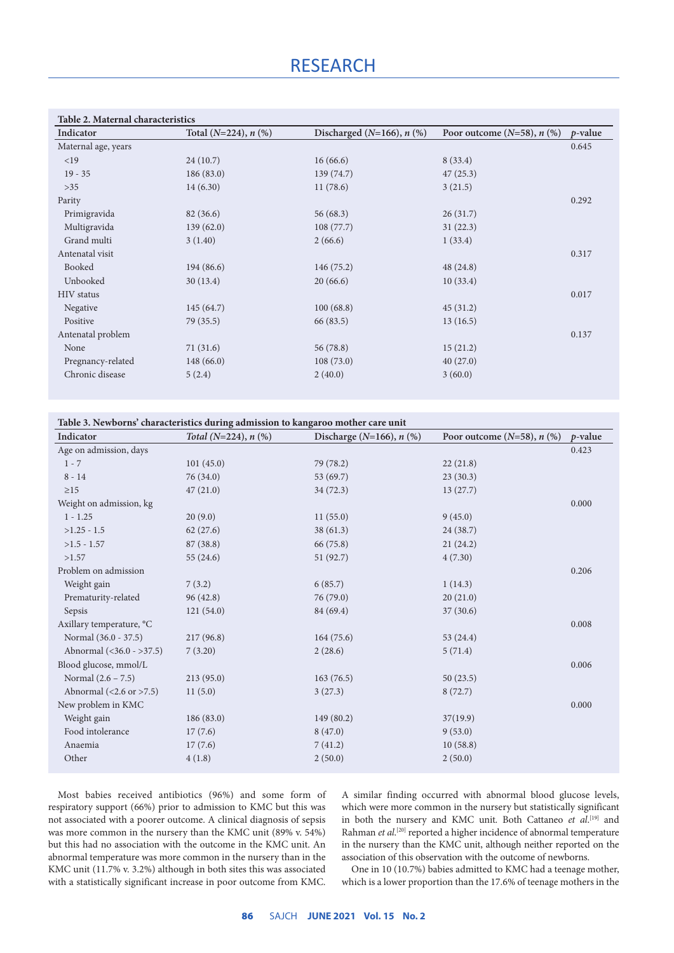### **RESEARCH**

| Indicator           | Total $(N=224)$ , n $(\%)$ | Discharged ( $N=166$ ), $n$ (%) | Poor outcome $(N=58)$ , n $(\%)$ | $p$ -value |
|---------------------|----------------------------|---------------------------------|----------------------------------|------------|
| Maternal age, years |                            |                                 |                                  | 0.645      |
| <19                 | 24(10.7)                   | 16(66.6)                        | 8(33.4)                          |            |
| $19 - 35$           | 186(83.0)                  | 139(74.7)                       | 47(25.3)                         |            |
| $>35$               | 14(6.30)                   | 11(78.6)                        | 3(21.5)                          |            |
| Parity              |                            |                                 |                                  | 0.292      |
| Primigravida        | 82(36.6)                   | 56(68.3)                        | 26(31.7)                         |            |
| Multigravida        | 139(62.0)                  | 108(77.7)                       | 31(22.3)                         |            |
| Grand multi         | 3(1.40)                    | 2(66.6)                         | 1(33.4)                          |            |
| Antenatal visit     |                            |                                 |                                  | 0.317      |
| Booked              | 194(86.6)                  | 146(75.2)                       | 48(24.8)                         |            |
| Unbooked            | 30(13.4)                   | 20(66.6)                        | 10(33.4)                         |            |
| <b>HIV</b> status   |                            |                                 |                                  | 0.017      |
| Negative            | 145(64.7)                  | 100(68.8)                       | 45(31.2)                         |            |
| Positive            | 79(35.5)                   | 66 (83.5)                       | 13(16.5)                         |            |
| Antenatal problem   |                            |                                 |                                  | 0.137      |
| None                | 71(31.6)                   | 56(78.8)                        | 15(21.2)                         |            |
| Pregnancy-related   | 148(66.0)                  | 108(73.0)                       | 40(27.0)                         |            |
| Chronic disease     | 5(2.4)                     | 2(40.0)                         | 3(60.0)                          |            |

| Table 3. Newborns' characteristics during admission to kangaroo mother care unit |                            |                                |                                    |            |  |  |
|----------------------------------------------------------------------------------|----------------------------|--------------------------------|------------------------------------|------------|--|--|
| Indicator                                                                        | Total ( $N=224$ ), $n$ (%) | Discharge ( $N=166$ ), $n$ (%) | Poor outcome $(N=58)$ , $n$ $(\%)$ | $p$ -value |  |  |
| Age on admission, days                                                           |                            |                                |                                    | 0.423      |  |  |
| $1 - 7$                                                                          | 101(45.0)                  | 79 (78.2)                      | 22(21.8)                           |            |  |  |
| $8 - 14$                                                                         | 76 (34.0)                  | 53 $(69.7)$                    | 23(30.3)                           |            |  |  |
| $\geq$ 15                                                                        | 47(21.0)                   | 34(72.3)                       | 13(27.7)                           |            |  |  |
| Weight on admission, kg                                                          |                            |                                |                                    | 0.000      |  |  |
| $1 - 1.25$                                                                       | 20(9.0)                    | 11(55.0)                       | 9(45.0)                            |            |  |  |
| $>1.25 - 1.5$                                                                    | 62(27.6)                   | 38(61.3)                       | 24(38.7)                           |            |  |  |
| $>1.5 - 1.57$                                                                    | 87 (38.8)                  | 66 (75.8)                      | 21(24.2)                           |            |  |  |
| >1.57                                                                            | 55(24.6)                   | 51 (92.7)                      | 4(7.30)                            |            |  |  |
| Problem on admission                                                             |                            |                                |                                    | 0.206      |  |  |
| Weight gain                                                                      | 7(3.2)                     | 6(85.7)                        | 1(14.3)                            |            |  |  |
| Prematurity-related                                                              | 96(42.8)                   | 76(79.0)                       | 20(21.0)                           |            |  |  |
| Sepsis                                                                           | 121(54.0)                  | 84 (69.4)                      | 37(30.6)                           |            |  |  |
| Axillary temperature, °C                                                         |                            |                                |                                    | 0.008      |  |  |
| Normal (36.0 - 37.5)                                                             | 217(96.8)                  | 164(75.6)                      | 53(24.4)                           |            |  |  |
| Abnormal (<36.0 - >37.5)                                                         | 7(3.20)                    | 2(28.6)                        | 5(71.4)                            |            |  |  |
| Blood glucose, mmol/L                                                            |                            |                                |                                    | 0.006      |  |  |
| Normal $(2.6 - 7.5)$                                                             | 213(95.0)                  | 163(76.5)                      | 50(23.5)                           |            |  |  |
| Abnormal $(2.6 \text{ or } >7.5)$                                                | 11(5.0)                    | 3(27.3)                        | 8(72.7)                            |            |  |  |
| New problem in KMC                                                               |                            |                                |                                    | 0.000      |  |  |
| Weight gain                                                                      | 186(83.0)                  | 149(80.2)                      | 37(19.9)                           |            |  |  |
| Food intolerance                                                                 | 17(7.6)                    | 8(47.0)                        | 9(53.0)                            |            |  |  |
| Anaemia                                                                          | 17(7.6)                    | 7(41.2)                        | 10(58.8)                           |            |  |  |
| Other                                                                            | 4(1.8)                     | 2(50.0)                        | 2(50.0)                            |            |  |  |
|                                                                                  |                            |                                |                                    |            |  |  |

Most babies received antibiotics (96%) and some form of respiratory support (66%) prior to admission to KMC but this was not associated with a poorer outcome. A clinical diagnosis of sepsis was more common in the nursery than the KMC unit (89% v. 54%) but this had no association with the outcome in the KMC unit. An abnormal temperature was more common in the nursery than in the KMC unit (11.7% v. 3.2%) although in both sites this was associated with a statistically significant increase in poor outcome from KMC.

A similar finding occurred with abnormal blood glucose levels, which were more common in the nursery but statistically significant in both the nursery and KMC unit. Both Cattaneo et al.<sup>[19]</sup> and Rahman *et al.*<sup>[20]</sup> reported a higher incidence of abnormal temperature in the nursery than the KMC unit, although neither reported on the association of this observation with the outcome of newborns.

One in 10 (10.7%) babies admitted to KMC had a teenage mother, which is a lower proportion than the 17.6% of teenage mothers in the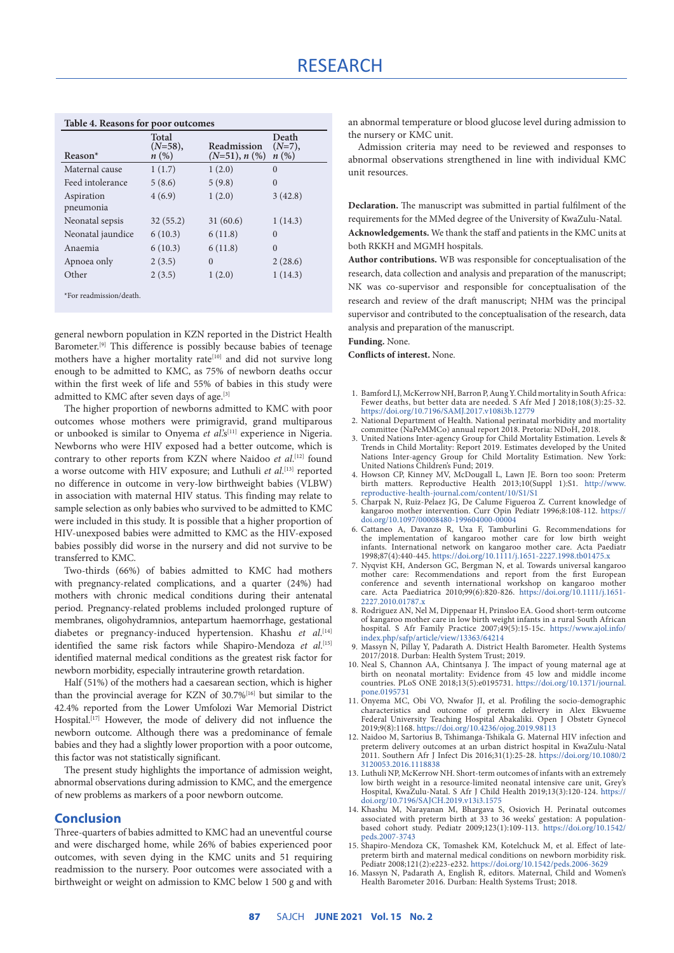| <b>Table 4. Reasons for poor outcomes</b> |                               |                                |                           |  |  |
|-------------------------------------------|-------------------------------|--------------------------------|---------------------------|--|--|
| $Reason*$                                 | Total<br>$(N=58),$<br>$n(\%)$ | Readmission<br>$(N=51), n$ (%) | Death<br>$(N=7),$<br>n(%) |  |  |
| Maternal cause                            | 1(1.7)                        | 1(2.0)                         | $\Omega$                  |  |  |
| Feed intolerance                          | 5(8.6)                        | 5(9.8)                         | $\theta$                  |  |  |
| Aspiration                                | 4(6.9)                        | 1(2.0)                         | 3(42.8)                   |  |  |
| pneumonia                                 |                               |                                |                           |  |  |
| Neonatal sepsis                           | 32(55.2)                      | 31(60.6)                       | 1(14.3)                   |  |  |
| Neonatal jaundice                         | 6(10.3)                       | 6(11.8)                        | $\Omega$                  |  |  |
| Anaemia                                   | 6(10.3)                       | 6(11.8)                        | $\Omega$                  |  |  |
| Apnoea only                               | 2(3.5)                        | $\Omega$                       | 2(28.6)                   |  |  |
| Other                                     | 2(3.5)                        | 1(2.0)                         | 1(14.3)                   |  |  |
| *For readmission/death.                   |                               |                                |                           |  |  |

general newborn population in KZN reported in the District Health Barometer.[9] This difference is possibly because babies of teenage mothers have a higher mortality rate<sup>[10]</sup> and did not survive long enough to be admitted to KMC, as 75% of newborn deaths occur within the first week of life and 55% of babies in this study were admitted to KMC after seven days of age.<sup>[3]</sup>

The higher proportion of newborns admitted to KMC with poor outcomes whose mothers were primigravid, grand multiparous or unbooked is similar to Onyema *et al*.'s[11] experience in Nigeria. Newborns who were HIV exposed had a better outcome, which is contrary to other reports from KZN where Naidoo *et al*. [12] found a worse outcome with HIV exposure; and Luthuli *et al.*<sup>[13]</sup> reported no difference in outcome in very-low birthweight babies (VLBW) in association with maternal HIV status. This finding may relate to sample selection as only babies who survived to be admitted to KMC were included in this study. It is possible that a higher proportion of HIV-unexposed babies were admitted to KMC as the HIV-exposed babies possibly did worse in the nursery and did not survive to be transferred to KMC.

Two-thirds (66%) of babies admitted to KMC had mothers with pregnancy-related complications, and a quarter (24%) had mothers with chronic medical conditions during their antenatal period. Pregnancy-related problems included prolonged rupture of membranes, oligohydramnios, antepartum haemorrhage, gestational diabetes or pregnancy-induced hypertension. Khashu *et al*. [14] identified the same risk factors while Shapiro-Mendoza *et al*. [15] identified maternal medical conditions as the greatest risk factor for newborn morbidity, especially intrauterine growth retardation.

Half (51%) of the mothers had a caesarean section, which is higher than the provincial average for KZN of 30.7%[16] but similar to the 42.4% reported from the Lower Umfolozi War Memorial District Hospital.<sup>[17]</sup> However, the mode of delivery did not influence the newborn outcome. Although there was a predominance of female babies and they had a slightly lower proportion with a poor outcome, this factor was not statistically significant.

The present study highlights the importance of admission weight, abnormal observations during admission to KMC, and the emergence of new problems as markers of a poor newborn outcome.

### **Conclusion**

Three-quarters of babies admitted to KMC had an uneventful course and were discharged home, while 26% of babies experienced poor outcomes, with seven dying in the KMC units and 51 requiring readmission to the nursery. Poor outcomes were associated with a birthweight or weight on admission to KMC below 1 500 g and with an abnormal temperature or blood glucose level during admission to the nursery or KMC unit.

Admission criteria may need to be reviewed and responses to abnormal observations strengthened in line with individual KMC unit resources.

**Declaration.** The manuscript was submitted in partial fulfilment of the requirements for the MMed degree of the University of KwaZulu-Natal. **Acknowledgements.** We thank the staff and patients in the KMC units at both RKKH and MGMH hospitals.

**Author contributions.** WB was responsible for conceptualisation of the research, data collection and analysis and preparation of the manuscript; NK was co-supervisor and responsible for conceptualisation of the research and review of the draft manuscript; NHM was the principal supervisor and contributed to the conceptualisation of the research, data analysis and preparation of the manuscript.

#### **Funding.** None.

**Conflicts of interest.** None.

- 1. Bamford LJ, McKerrow NH, Barron P, Aung Y. Child mortality in South Africa: Fewer deaths, but better data are needed. S Afr Med J 2018;108(3):25-32. <https://doi.org/10.7196/SAMJ.2017.v108i3b.12779>
- 2. National Department of Health. National perinatal morbidity and mortality committee (NaPeMMCo) annual report 2018. Pretoria: NDoH, 2018.
- 3. United Nations Inter-agency Group for Child Mortality Estimation. Levels & Trends in Child Mortality: Report 2019. Estimates developed by the United Nations Inter-agency Group for Child Mortality Estimation. New York: United Nations Children's Fund; 2019.
- 4. Howson CP, Kinney MV, McDougall L, Lawn JE. Born too soon: Preterm birth matters. Reproductive Health 2013;10(Suppl 1):S1. [http://www.](http://www.reproductive-health-journal.com/content/10/S1/S1) [reproductive-health-journal.com/content/10/S1/S1](http://www.reproductive-health-journal.com/content/10/S1/S1)
- 5. Charpak N, Ruiz-Pelaez JG, De Calume Figueroa Z. Current knowledge of kangaroo mother intervention. Curr Opin Pediatr 1996;8:108-112. [https://](https://doi.org/10.1097/00008480-199604000-00004) [doi.org/10.1097/00008480-199604000-00004](https://doi.org/10.1097/00008480-199604000-00004)
- 6. Cattaneo A, Davanzo R, Uxa F, Tamburlini G. Recommendations for the implementation of kangaroo mother care for low birth weight infants. International network on kangaroo mother care. Acta Paediatr 1998;87(4):440-445. <https://doi.org/10.1111/j.1651-2227.1998.tb01475.x>
- 7. Nyqvist KH, Anderson GC, Bergman N, et al. Towards universal kangaroo mother care: Recommendations and report from the first European conference and seventh international workshop on kangaroo mother care. Acta Paediatrica 2010;99(6):820-826. [https://doi.org/10.1111/j.1651-](https://doi.org/10.1111/j.1651-2227.2010.01787.x) [2227.2010.01787.x](https://doi.org/10.1111/j.1651-2227.2010.01787.x)
- 8. Rodriguez AN, Nel M, Dippenaar H, Prinsloo EA. Good short-term outcome of kangaroo mother care in low birth weight infants in a rural South African hospital. S Afr Family Practice 2007;49(5):15-15c. [https://www.ajol.info/](https://www.ajol.info/index.php/safp/article/view/13363/64214) [index.php/safp/article/view/13363/64214](https://www.ajol.info/index.php/safp/article/view/13363/64214)
- 9. Massyn N, Pillay Y, Padarath A. District Health Barometer. Health Systems 2017/2018. Durban: Health System Trust; 2019.
- 10. Neal S, Channon AA, Chintsanya J. The impact of young maternal age at birth on neonatal mortality: Evidence from 45 low and middle income countries. PLoS ONE 2018;13(5):e0195731. [https://doi.org/10.1371/journal.](https://doi.org/10.1371/journal.pone.0195731) [pone.0195731](https://doi.org/10.1371/journal.pone.0195731)
- 11. Onyema MC, Obi VO, Nwafor JI, et al. Profiling the socio-demographic characteristics and outcome of preterm delivery in Alex Ekwueme Federal University Teaching Hospital Abakaliki. Open J Obstetr Gynecol 2019;9(8):1168.<https://doi.org/10.4236/ojog.2019.98113>
- 12. Naidoo M, Sartorius B, Tshimanga-Tshikala G. Maternal HIV infection and preterm delivery outcomes at an urban district hospital in KwaZulu-Natal 2011. Southern Afr J Infect Dis 2016;31(1):25-28. [https://doi.org/10.1080/2](https://doi.org/10.1080/23120053.2016.1118838) [3120053.2016.1118838](https://doi.org/10.1080/23120053.2016.1118838)
- 13. Luthuli NP, McKerrow NH. Short-term outcomes of infants with an extremely low birth weight in a resource-limited neonatal intensive care unit, Grey's Hospital, KwaZulu-Natal. S Afr J Child Health 2019;13(3):120-124. [https://](https://doi.org/10.7196/SAJCH.2019.v13i3.1575) [doi.org/10.7196/SAJCH.2019.v13i3.1575](https://doi.org/10.7196/SAJCH.2019.v13i3.1575)
- 14. Khashu M, Narayanan M, Bhargava S, Osiovich H. Perinatal outcomes associated with preterm birth at 33 to 36 weeks' gestation: A populationbased cohort study. Pediatr 2009;123(1):109-113. [https://doi.org/10.1542/](https://doi.org/10.1542/peds.2007-3743) [peds.2007-3743](https://doi.org/10.1542/peds.2007-3743)
- 15. Shapiro-Mendoza CK, Tomashek KM, Kotelchuck M, et al. Effect of latepreterm birth and maternal medical conditions on newborn morbidity risk. Pediatr 2008;121(2):e223-e232. <https://doi.org/10.1542/peds.2006-3629>
- 16. Massyn N, Padarath A, English R, editors. Maternal, Child and Women's Health Barometer 2016. Durban: Health Systems Trust; 2018.